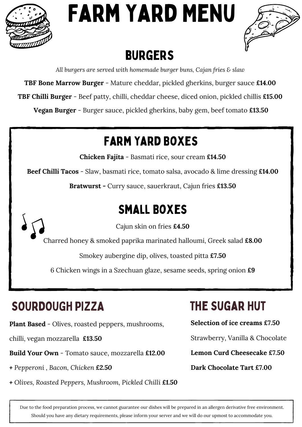

# Farm Yard Menu



### **BURGERS**

*All burgers are served with homemade burger buns, Cajan fries & slaw*

**TBF Bone Marrow Burger** - Mature cheddar, pickled gherkins, burger sauce **£14.00**

**TBF Chilli Burger** - Beef patty, chilli, cheddar cheese, diced onion, pickled chillis **£15.00**

**Vegan Burger** - Burger sauce, pickled gherkins, baby gem, beef tomato **£13.50**

### Farm Yard Boxes

**Chicken Fajita** - Basmati rice, sour cream **£14.50**

**Beef Chilli Tacos** - Slaw, basmati rice, tomato salsa, avocado & lime dressing **£14.00**

**Bratwurst -** Curry sauce, sauerkraut, Cajun fries **£13.50**

### Small Boxes

Cajun skin on fries **£4.50**

Charred honey & smoked paprika marinated halloumi, Greek salad **£8.00**

Smokey aubergine dip, olives, toasted pitta **£7.50**

6 Chicken wings in a Szechuan glaze, sesame seeds, spring onion **£9**

### SOURDOUGH PIZZA

**Plant Based** - Olives, roasted peppers, mushrooms,

chilli, vegan mozzarella **£13.50**

**Build Your Own** - Tomato sauce, mozzarella **£12.00**

- *+ Pepperoni , Bacon, Chicken £2.50*
- *+ Olives, Roasted Peppers, Mushroom, Pickled Chilli £1.50*

### The Sugar Hut

**Selection of ice creams £7.50**

Strawberry, Vanilla & Chocolate

**Lemon Curd Cheesecake £7.50**

**Dark Chocolate Tart £7.00**

Due to the food preparation process, we cannot guarantee our dishes will be prepared in an allergen derivative free environment. Should you have any dietary requirements, please inform your server and we will do our upmost to accommodate you.